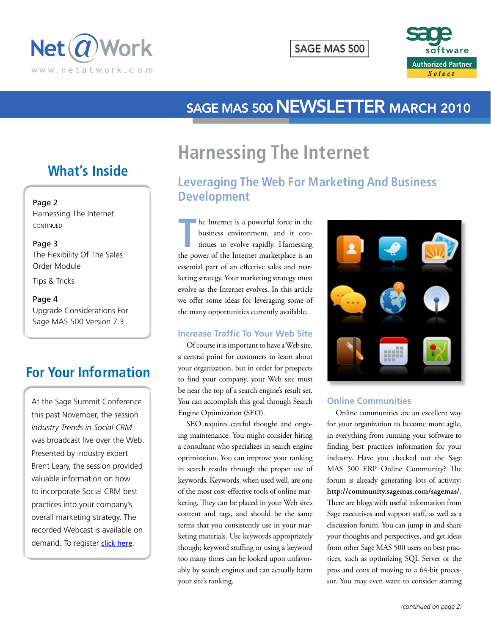



# SAGE MAS 500 NEWSLETTER MARCH 2010

# **Harnessing The Internet**

## **Leveraging The Web For Marketing And Business Development**

**THE INTERNATE IS A POWERFUL force in the business environment, and it continues to evolve rapidly. Harnessing the power of the Internet marketplace is an** he Internet is a powerful force in the business environment, and it continues to evolve rapidly. Harnessing essential part of an effective sales and marketing strategy. Your marketing strategy must evolve as the Internet evolves. In this article we offer some ideas for leveraging some of the many opportunities currently available.

#### **Increase Traffic To Your Web Site**

Of course it is important to have a Web site, a central point for customers to learn about your organization, but in order for prospects to find your company, your Web site must be near the top of a search engine's result set. You can accomplish this goal through Search Engine Optimization (SEO).

SEO requires careful thought and ongoing maintenance. You might consider hiring a consultant who specializes in search engine optimization. You can improve your ranking in search results through the proper use of keywords. Keywords, when used well, are one of the most cost-effective tools of online marketing. They can be placed in your Web site's content and tags, and should be the same terms that you consistently use in your marketing materials. Use keywords appropriately though; keyword stuffing or using a keyword too many times can be looked upon unfavorably by search engines and can actually harm your site's ranking.



#### **Online Communities**

Online communities are an excellent way for your organization to become more agile, in everything from running your software to finding best practices information for your industry. Have you checked out the Sage MAS 500 ERP Online Community? The forum is already generating lots of activity: **http://community.sagemas.com/sagemas/**. There are blogs with useful information from Sage executives and support staff, as well as a discussion forum. You can jump in and share your thoughts and perspectives, and get ideas from other Sage MAS 500 users on best practices, such as optimizing SQL Server or the pros and cons of moving to a 64-bit processor. You may even want to consider starting

## **What's Inside**

#### Page 2

Harnessing The Internet continued

Page 3 The Flexibility Of The Sales Order Module

Tips & Tricks

#### Page 4

Upgrade Considerations For Sage MAS 500 Version 7.3

## **For Your Information**

At the Sage Summit Conference this past November, the session *Industry Trends in Social CRM* was broadcast live over the Web. Presented by industry expert Brent Leary, the session provided valuable information on how to incorporate Social CRM best practices into your company's overall marketing strategy. The recorded Webcast is available on demand. To register [click here](http://inter.viewcentral.com/events/cust/single_event.aspx?cid=best&pid=2&cbClass=5063).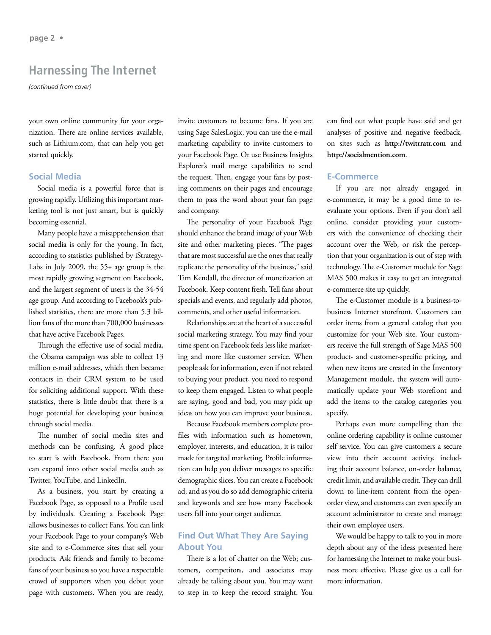### **Harnessing The Internet**

*(continued from cover)*

your own online community for your organization. There are online services available, such as Lithium.com, that can help you get started quickly.

#### **Social Media**

Social media is a powerful force that is growing rapidly. Utilizing this important marketing tool is not just smart, but is quickly becoming essential.

Many people have a misapprehension that social media is only for the young. In fact, according to statistics published by iStrategy-Labs in July 2009, the 55+ age group is the most rapidly growing segment on Facebook, and the largest segment of users is the 34-54 age group. And according to Facebook's published statistics, there are more than 5.3 billion fans of the more than 700,000 businesses that have active Facebook Pages.

Through the effective use of social media, the Obama campaign was able to collect 13 million e-mail addresses, which then became contacts in their CRM system to be used for soliciting additional support. With these statistics, there is little doubt that there is a huge potential for developing your business through social media.

The number of social media sites and methods can be confusing. A good place to start is with Facebook. From there you can expand into other social media such as Twitter, YouTube, and LinkedIn.

As a business, you start by creating a Facebook Page, as opposed to a Profile used by individuals. Creating a Facebook Page allows businesses to collect Fans. You can link your Facebook Page to your company's Web site and to e-Commerce sites that sell your products. Ask friends and family to become fans of your business so you have a respectable crowd of supporters when you debut your page with customers. When you are ready,

invite customers to become fans. If you are using Sage SalesLogix, you can use the e-mail marketing capability to invite customers to your Facebook Page. Or use Business Insights Explorer's mail merge capabilities to send the request. Then, engage your fans by posting comments on their pages and encourage them to pass the word about your fan page and company.

The personality of your Facebook Page should enhance the brand image of your Web site and other marketing pieces. "The pages that are most successful are the ones that really replicate the personality of the business," said Tim Kendall, the director of monetization at Facebook. Keep content fresh. Tell fans about specials and events, and regularly add photos, comments, and other useful information.

Relationships are at the heart of a successful social marketing strategy. You may find your time spent on Facebook feels less like marketing and more like customer service. When people ask for information, even if not related to buying your product, you need to respond to keep them engaged. Listen to what people are saying, good and bad, you may pick up ideas on how you can improve your business.

Because Facebook members complete profiles with information such as hometown, employer, interests, and education, it is tailor made for targeted marketing. Profile information can help you deliver messages to specific demographic slices. You can create a Facebook ad, and as you do so add demographic criteria and keywords and see how many Facebook users fall into your target audience.

#### **Find Out What They Are Saying About You**

There is a lot of chatter on the Web; customers, competitors, and associates may already be talking about you. You may want to step in to keep the record straight. You can find out what people have said and get analyses of positive and negative feedback, on sites such as **http://twitrratr.com** and **http://socialmention.com**.

#### **E-Commerce**

If you are not already engaged in e-commerce, it may be a good time to reevaluate your options. Even if you don't sell online, consider providing your customers with the convenience of checking their account over the Web, or risk the perception that your organization is out of step with technology. The e-Customer module for Sage MAS 500 makes it easy to get an integrated e-commerce site up quickly.

The e-Customer module is a business-tobusiness Internet storefront. Customers can order items from a general catalog that you customize for your Web site. Your customers receive the full strength of Sage MAS 500 product- and customer-specific pricing, and when new items are created in the Inventory Management module, the system will automatically update your Web storefront and add the items to the catalog categories you specify.

Perhaps even more compelling than the online ordering capability is online customer self service. You can give customers a secure view into their account activity, including their account balance, on-order balance, credit limit, and available credit. They can drill down to line-item content from the openorder view, and customers can even specify an account administrator to create and manage their own employee users.

We would be happy to talk to you in more depth about any of the ideas presented here for harnessing the Internet to make your business more effective. Please give us a call for more information.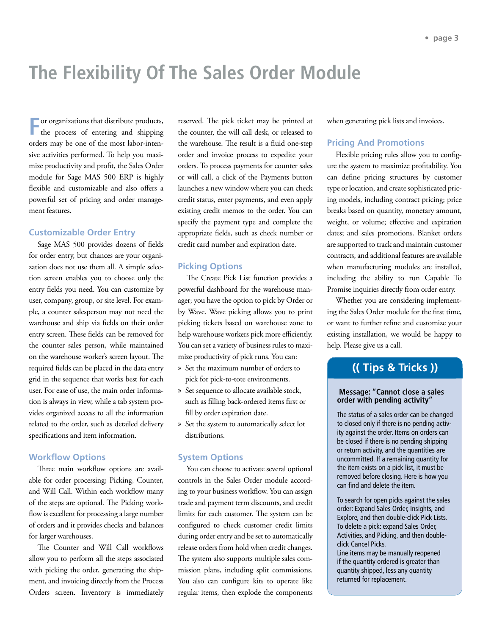# **The Flexibility Of The Sales Order Module**

**F**or organizations that distribute products, the process of entering and shipping orders may be one of the most labor-intensive activities performed. To help you maximize productivity and profit, the Sales Order module for Sage MAS 500 ERP is highly flexible and customizable and also offers a powerful set of pricing and order management features.

#### **Customizable Order Entry**

Sage MAS 500 provides dozens of fields for order entry, but chances are your organization does not use them all. A simple selection screen enables you to choose only the entry fields you need. You can customize by user, company, group, or site level. For example, a counter salesperson may not need the warehouse and ship via fields on their order entry screen. These fields can be removed for the counter sales person, while maintained on the warehouse worker's screen layout. The required fields can be placed in the data entry grid in the sequence that works best for each user. For ease of use, the main order information is always in view, while a tab system provides organized access to all the information related to the order, such as detailed delivery specifications and item information.

#### **Workflow Options**

Three main workflow options are available for order processing; Picking, Counter, and Will Call. Within each workflow many of the steps are optional. The Picking workflow is excellent for processing a large number of orders and it provides checks and balances for larger warehouses.

The Counter and Will Call workflows allow you to perform all the steps associated with picking the order, generating the shipment, and invoicing directly from the Process Orders screen. Inventory is immediately reserved. The pick ticket may be printed at the counter, the will call desk, or released to the warehouse. The result is a fluid one-step order and invoice process to expedite your orders. To process payments for counter sales or will call, a click of the Payments button launches a new window where you can check credit status, enter payments, and even apply existing credit memos to the order. You can specify the payment type and complete the appropriate fields, such as check number or credit card number and expiration date.

#### **Picking Options**

The Create Pick List function provides a powerful dashboard for the warehouse manager; you have the option to pick by Order or by Wave. Wave picking allows you to print picking tickets based on warehouse zone to help warehouse workers pick more efficiently. You can set a variety of business rules to maximize productivity of pick runs. You can:

- » Set the maximum number of orders to pick for pick-to-tote environments.
- » Set sequence to allocate available stock, such as filling back-ordered items first or fill by order expiration date.
- » Set the system to automatically select lot distributions.

#### **System Options**

You can choose to activate several optional controls in the Sales Order module according to your business workflow. You can assign trade and payment term discounts, and credit limits for each customer. The system can be configured to check customer credit limits during order entry and be set to automatically release orders from hold when credit changes. The system also supports multiple sales commission plans, including split commissions. You also can configure kits to operate like regular items, then explode the components when generating pick lists and invoices.

#### **Pricing And Promotions**

Flexible pricing rules allow you to configure the system to maximize profitability. You can define pricing structures by customer type or location, and create sophisticated pricing models, including contract pricing; price breaks based on quantity, monetary amount, weight, or volume; effective and expiration dates; and sales promotions. Blanket orders are supported to track and maintain customer contracts, and additional features are available when manufacturing modules are installed, including the ability to run Capable To Promise inquiries directly from order entry.

Whether you are considering implementing the Sales Order module for the first time, or want to further refine and customize your existing installation, we would be happy to help. Please give us a call.

### **(( Tips & Tricks ))**

#### **Message: "Cannot close a sales order with pending activity"**

The status of a sales order can be changed to closed only if there is no pending activity against the order. Items on orders can be closed if there is no pending shipping or return activity, and the quantities are uncommitted. If a remaining quantity for the item exists on a pick list, it must be removed before closing. Here is how you can find and delete the item.

To search for open picks against the sales order: Expand Sales Order, Insights, and Explore, and then double-click Pick Lists. To delete a pick: expand Sales Order, Activities, and Picking, and then doubleclick Cancel Picks.

Line items may be manually reopened if the quantity ordered is greater than quantity shipped, less any quantity returned for replacement.